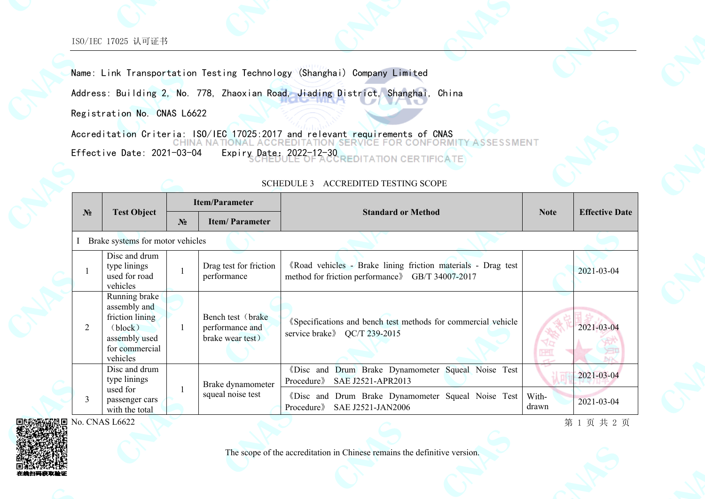Name: Link Transportation Testing Technology (Shanghai) Company Limited

Address: Building 2, No. 778, Zhaoxian Road, Jiading District, Shanghai, China

Registration No. CNAS L6622

Accreditation Criteria: ISO/IEC 17025:2017 and relevant requirements of CNAS<br>CHINA NATIONAL ACCREDITATION SERVICE FOR CONFORMETY **ASSESSMENT** Effective Date: 2021-03-04 Expiry Date: 2022-12-30 **CERTIFICATE** 

| N <sub>2</sub>                   | <b>Test Object</b>                                                                                         | <b>Item/Parameter</b> |                                                           |                                                                                                                   |                |                       |  |  |  |  |  |
|----------------------------------|------------------------------------------------------------------------------------------------------------|-----------------------|-----------------------------------------------------------|-------------------------------------------------------------------------------------------------------------------|----------------|-----------------------|--|--|--|--|--|
|                                  |                                                                                                            | $N_2$                 | <b>Item/Parameter</b>                                     | <b>Standard or Method</b>                                                                                         | <b>Note</b>    | <b>Effective Date</b> |  |  |  |  |  |
| Brake systems for motor vehicles |                                                                                                            |                       |                                                           |                                                                                                                   |                |                       |  |  |  |  |  |
|                                  | Disc and drum<br>type linings<br>used for road<br>vehicles                                                 |                       | Drag test for friction<br>performance                     | «Road vehicles - Brake lining friction materials - Drag test<br>method for friction performance & GB/T 34007-2017 |                | 2021-03-04            |  |  |  |  |  |
| 2                                | Running brake<br>assembly and<br>friction lining<br>(block)<br>assembly used<br>for commercial<br>vehicles |                       | Bench test (brake)<br>performance and<br>brake wear test) | «Specifications and bench test methods for commercial vehicle<br>service brake > QC/T 239-2015                    | <b>THE I</b>   | 2021-03-04            |  |  |  |  |  |
| 3                                | Disc and drum<br>type linings                                                                              |                       | Brake dynamometer<br>squeal noise test                    | «Disc and Drum Brake Dynamometer Squeal Noise Test<br>SAE J2521-APR2013<br>Procedure <sup>»</sup>                 |                | 2021-03-04            |  |  |  |  |  |
|                                  | used for<br>passenger cars<br>with the total                                                               |                       |                                                           | «Disc and Drum Brake Dynamometer Squeal Noise Test<br>Procedure<br>SAE J2521-JAN2006                              | With-<br>drawn | 2021-03-04            |  |  |  |  |  |
|                                  | No. CNAS L6622                                                                                             |                       |                                                           |                                                                                                                   |                | 第1页共2页                |  |  |  |  |  |

## SCHEDULE 3 ACCREDITED TESTING SCOPE

No. CNAS L6622



The scope of the accreditation in Chinese remains the definitive version.